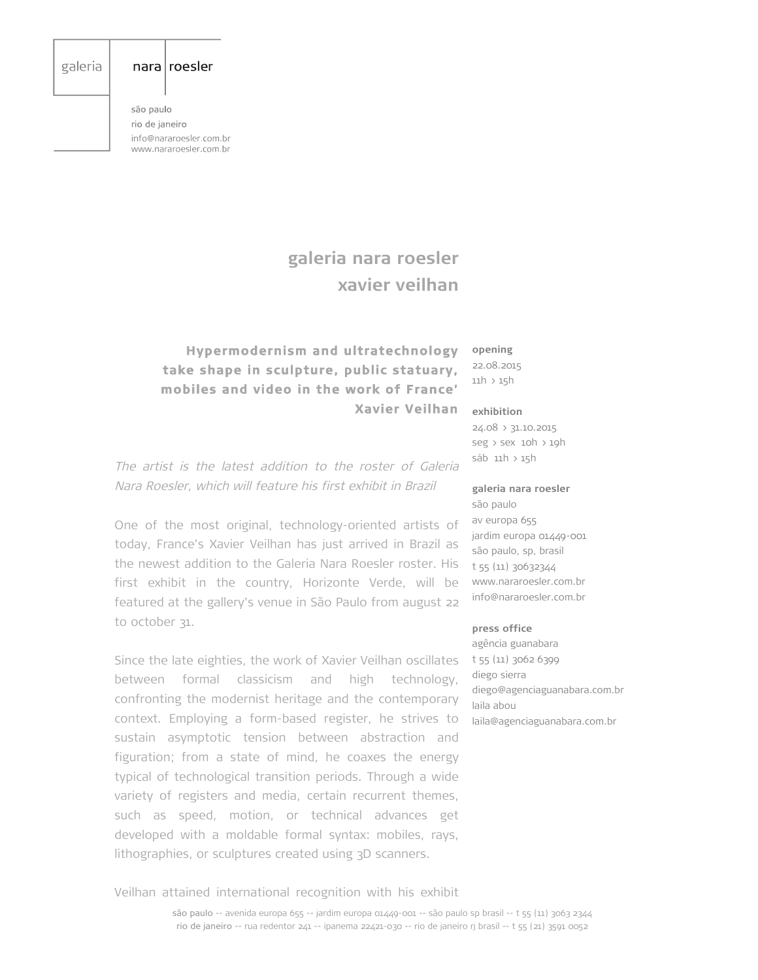# galeria

### $nara | roesler$

são paulo rio de janeiro info@nararoesler.com.br www.nararoesler.com.br

# **galeria nara roesler xavier veilhan**

# **Hypermodernism and ultratechnology take shape in sculpture, public statuary, mobiles and video in the work of France' Xavier Veilhan**

**opening** 22.08.2015

11h > 15h

#### **exhibition**

são paulo

24.08 > 31.10.2015 seg > sex 10h > 19h sáb 11h > 15h

The artist is the latest addition to the roster of Galeria Nara Roesler, which will feature his first exhibit in Brazil

One of the most original, technology-oriented artists of today, France's Xavier Veilhan has just arrived in Brazil as the newest addition to the Galeria Nara Roesler roster. His first exhibit in the country, Horizonte Verde, will be featured at the gallery's venue in São Paulo from august 22 to october 31.

Since the late eighties, the work of Xavier Veilhan oscillates between formal classicism and high technology, confronting the modernist heritage and the contemporary context. Employing a form-based register, he strives to sustain asymptotic tension between abstraction and figuration; from a state of mind, he coaxes the energy typical of technological transition periods. Through a wide variety of registers and media, certain recurrent themes, such as speed, motion, or technical advances get developed with a moldable formal syntax: mobiles, rays, lithographies, or sculptures created using 3D scanners.

# av europa 655

**galeria nara roesler**

jardim europa 01449-001 são paulo, sp, brasil t 55 (11) 30632344 www.nararoesler.com.br info@nararoesler.com.br

#### **press office**

agência guanabara t 55 (11) 3062 6399 diego sierra diego@agenciaguanabara.com.br laila abou laila@agenciaguanabara.com.br

Veilhan attained international recognition with his exhibit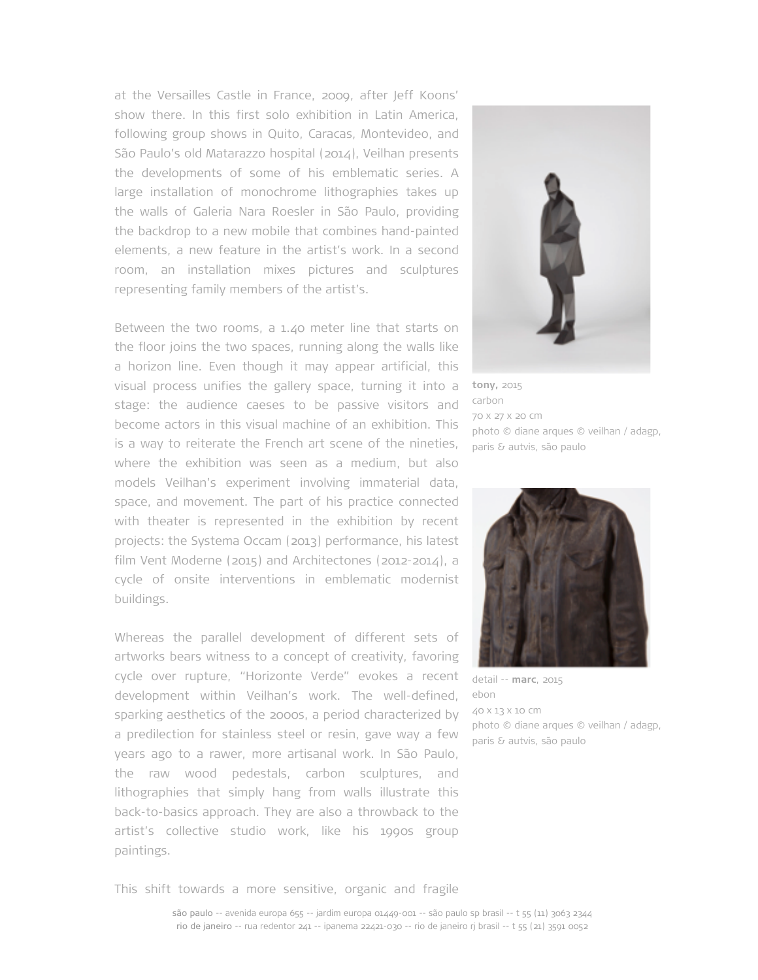at the Versailles Castle in France, 2009, after Jeff Koons' show there. In this first solo exhibition in Latin America, following group shows in Quito, Caracas, Montevideo, and São Paulo's old Matarazzo hospital (2014), Veilhan presents the developments of some of his emblematic series. A large installation of monochrome lithographies takes up the walls of Galeria Nara Roesler in São Paulo, providing the backdrop to a new mobile that combines hand-painted elements, a new feature in the artist's work. In a second room, an installation mixes pictures and sculptures representing family members of the artist's.

Between the two rooms, a 1.40 meter line that starts on the floor joins the two spaces, running along the walls like a horizon line. Even though it may appear artificial, this visual process unifies the gallery space, turning it into a stage: the audience caeses to be passive visitors and become actors in this visual machine of an exhibition. This is a way to reiterate the French art scene of the nineties, where the exhibition was seen as a medium, but also models Veilhan's experiment involving immaterial data, space, and movement. The part of his practice connected with theater is represented in the exhibition by recent projects: the Systema Occam (2013) performance, his latest film Vent Moderne (2015) and Architectones (2012-2014), a cycle of onsite interventions in emblematic modernist buildings.

Whereas the parallel development of different sets of artworks bears witness to a concept of creativity, favoring cycle over rupture, "Horizonte Verde" evokes a recent development within Veilhan's work. The well-defined, sparking aesthetics of the 2000s, a period characterized by a predilection for stainless steel or resin, gave way a few years ago to a rawer, more artisanal work. In São Paulo, the raw wood pedestals, carbon sculptures, and lithographies that simply hang from walls illustrate this back-to-basics approach. They are also a throwback to the artist's collective studio work, like his 1990s group paintings.



**tony,** 2015 carbon 70 x 27 x 20 cm photo © diane arques © veilhan / adagp, paris & autvis, são paulo



detail -- **marc**, 2015 ebon 40 x 13 x 10 cm photo © diane arques © veilhan / adagp, paris & autvis, são paulo

This shift towards a more sensitive, organic and fragile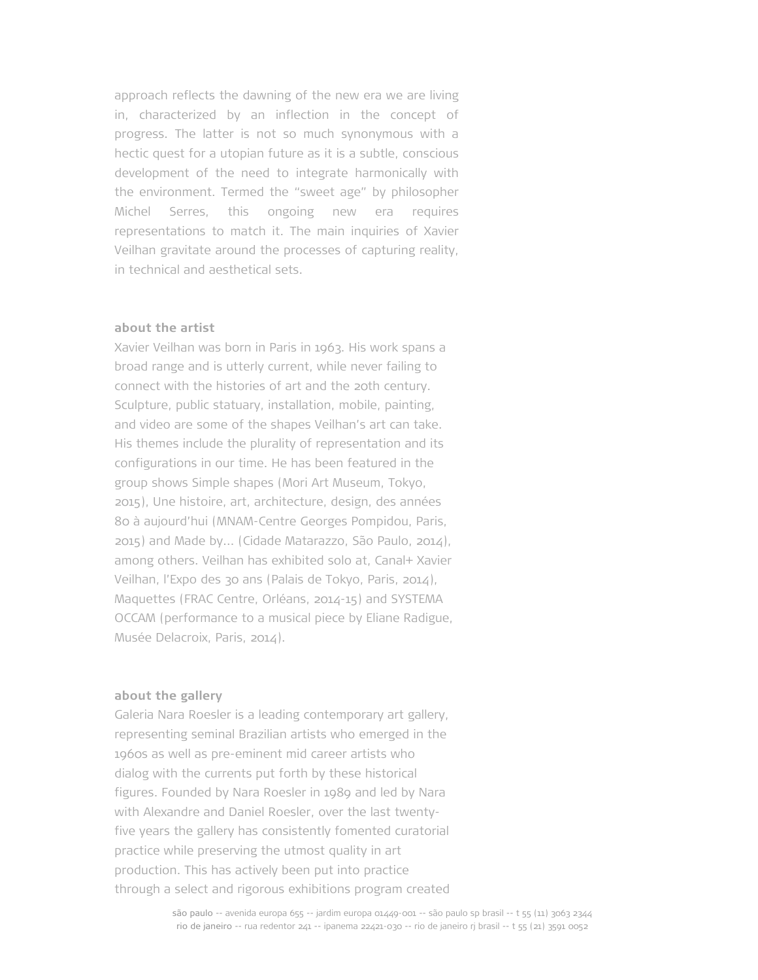approach reflects the dawning of the new era we are living in, characterized by an inflection in the concept of progress. The latter is not so much synonymous with a hectic quest for a utopian future as it is a subtle, conscious development of the need to integrate harmonically with the environment. Termed the "sweet age" by philosopher Michel Serres, this ongoing new era requires representations to match it. The main inquiries of Xavier Veilhan gravitate around the processes of capturing reality, in technical and aesthetical sets.

# **about the artist**

Xavier Veilhan was born in Paris in 1963. His work spans a broad range and is utterly current, while never failing to connect with the histories of art and the 20th century. Sculpture, public statuary, installation, mobile, painting, and video are some of the shapes Veilhan's art can take. His themes include the plurality of representation and its configurations in our time. He has been featured in the group shows Simple shapes (Mori Art Museum, Tokyo, 2015), Une histoire, art, architecture, design, des années 80 à aujourd'hui (MNAM-Centre Georges Pompidou, Paris, 2015) and Made by... (Cidade Matarazzo, São Paulo, 2014), among others. Veilhan has exhibited solo at, Canal+ Xavier Veilhan, l'Expo des 30 ans (Palais de Tokyo, Paris, 2014), Maquettes (FRAC Centre, Orléans, 2014-15) and SYSTEMA OCCAM (performance to a musical piece by Eliane Radigue, Musée Delacroix, Paris, 2014).

### **about the gallery**

Galeria Nara Roesler is a leading contemporary art gallery, representing seminal Brazilian artists who emerged in the 1960s as well as pre-eminent mid career artists who dialog with the currents put forth by these historical figures. Founded by Nara Roesler in 1989 and led by Nara with Alexandre and Daniel Roesler, over the last twentyfive years the gallery has consistently fomented curatorial practice while preserving the utmost quality in art production. This has actively been put into practice through a select and rigorous exhibitions program created